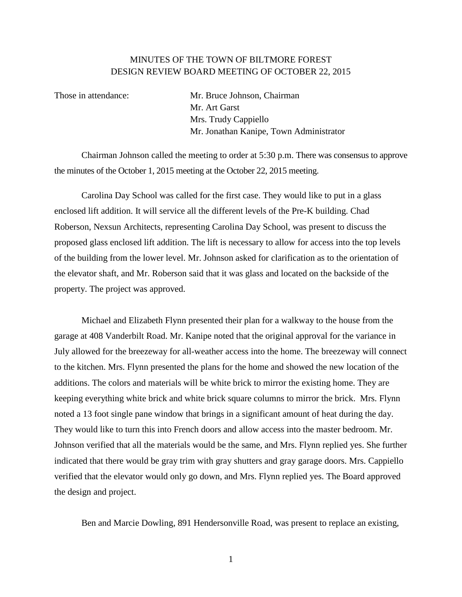## MINUTES OF THE TOWN OF BILTMORE FOREST DESIGN REVIEW BOARD MEETING OF OCTOBER 22, 2015

Those in attendance: Mr. Bruce Johnson, Chairman Mr. Art Garst Mrs. Trudy Cappiello Mr. Jonathan Kanipe, Town Administrator

Chairman Johnson called the meeting to order at 5:30 p.m. There was consensus to approve the minutes of the October 1, 2015 meeting at the October 22, 2015 meeting.

Carolina Day School was called for the first case. They would like to put in a glass enclosed lift addition. It will service all the different levels of the Pre-K building. Chad Roberson, Nexsun Architects, representing Carolina Day School, was present to discuss the proposed glass enclosed lift addition. The lift is necessary to allow for access into the top levels of the building from the lower level. Mr. Johnson asked for clarification as to the orientation of the elevator shaft, and Mr. Roberson said that it was glass and located on the backside of the property. The project was approved.

Michael and Elizabeth Flynn presented their plan for a walkway to the house from the garage at 408 Vanderbilt Road. Mr. Kanipe noted that the original approval for the variance in July allowed for the breezeway for all-weather access into the home. The breezeway will connect to the kitchen. Mrs. Flynn presented the plans for the home and showed the new location of the additions. The colors and materials will be white brick to mirror the existing home. They are keeping everything white brick and white brick square columns to mirror the brick. Mrs. Flynn noted a 13 foot single pane window that brings in a significant amount of heat during the day. They would like to turn this into French doors and allow access into the master bedroom. Mr. Johnson verified that all the materials would be the same, and Mrs. Flynn replied yes. She further indicated that there would be gray trim with gray shutters and gray garage doors. Mrs. Cappiello verified that the elevator would only go down, and Mrs. Flynn replied yes. The Board approved the design and project.

Ben and Marcie Dowling, 891 Hendersonville Road, was present to replace an existing,

1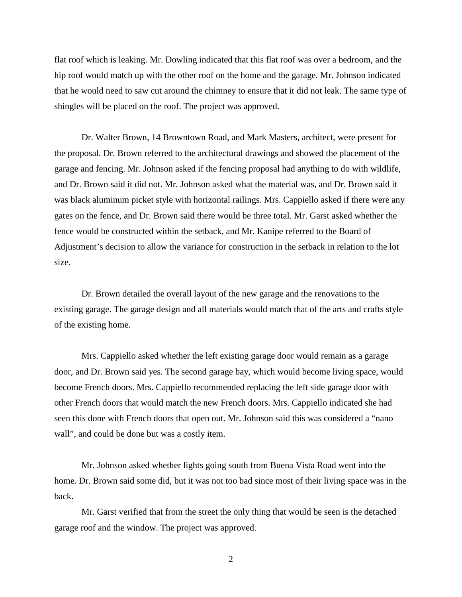flat roof which is leaking. Mr. Dowling indicated that this flat roof was over a bedroom, and the hip roof would match up with the other roof on the home and the garage. Mr. Johnson indicated that he would need to saw cut around the chimney to ensure that it did not leak. The same type of shingles will be placed on the roof. The project was approved.

Dr. Walter Brown, 14 Browntown Road, and Mark Masters, architect, were present for the proposal. Dr. Brown referred to the architectural drawings and showed the placement of the garage and fencing. Mr. Johnson asked if the fencing proposal had anything to do with wildlife, and Dr. Brown said it did not. Mr. Johnson asked what the material was, and Dr. Brown said it was black aluminum picket style with horizontal railings. Mrs. Cappiello asked if there were any gates on the fence, and Dr. Brown said there would be three total. Mr. Garst asked whether the fence would be constructed within the setback, and Mr. Kanipe referred to the Board of Adjustment's decision to allow the variance for construction in the setback in relation to the lot size.

Dr. Brown detailed the overall layout of the new garage and the renovations to the existing garage. The garage design and all materials would match that of the arts and crafts style of the existing home.

Mrs. Cappiello asked whether the left existing garage door would remain as a garage door, and Dr. Brown said yes. The second garage bay, which would become living space, would become French doors. Mrs. Cappiello recommended replacing the left side garage door with other French doors that would match the new French doors. Mrs. Cappiello indicated she had seen this done with French doors that open out. Mr. Johnson said this was considered a "nano wall", and could be done but was a costly item.

Mr. Johnson asked whether lights going south from Buena Vista Road went into the home. Dr. Brown said some did, but it was not too bad since most of their living space was in the back.

Mr. Garst verified that from the street the only thing that would be seen is the detached garage roof and the window. The project was approved.

2